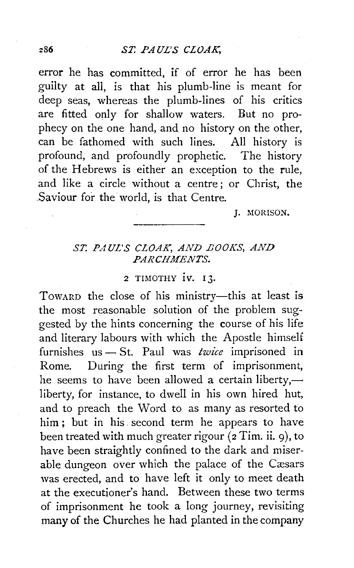error he has committed, if of error he has been guilty at all, is that his plumb-line is meant for deep seas, whereas the plumb-lines of his critics are fitted only for shallow waters. But no prophecy on the one hand, and no history on the other, can be fathomed with such lines. All history is profound, and profoundly prophetic. The history of the Hebrews is either an exception to the rule, and like a circle without a centre ; or Christ, the Saviour for the world, is that Centre.

**I. MORISON.** 

## *ST. PAUL'S CLOAK, AND EOOKS, AND PARCHMENTS.*

## 2 TIMOTHY 1V. 13.

TOWARD the close of his ministry-this at least is the most reasonable solution of the problem suggested by the hints concerning the course of his life and literary labours with which the Apostle himself furnishes us- St. Paul was *twice* imprisoned in Rome. During the first term of imprisonment, he seems to have been allowed a certain liberty, liberty, for instance, to dwell in his own hired hut, and to preach the Word to as many as resorted to him ; but in his . second term he appears to have been treated with much greater rigour (2 Tim. ii. 9), to have been straightly confined to the dark and miserable dungeon over which the palace of the Cæsars was erected, and to have left it only to meet death at the executioner's hand. Between these two terms of imprisonment he took a long journey, revisiting many of the Churches he had planted in the company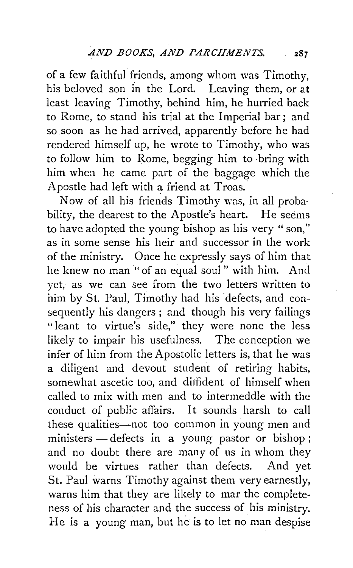of a few faithful friends, among whom was Timothy, his beloved son in the Lord. Leaving them, or at least leaving Timothy, behind him, he hurried back to Rome, to stand his trial at the Imperial bar; and so soon as he had arrived, apparently before he had rendered himself up, he wrote to Timothy, who was to follow him to Rome, begging him to bring with him when he came part of the baggage which the Apostle had left with a friend at Troas.

Now of all his friends Timothy was, in all proba· bility, the dearest to the Apostle's heart. He seems to have adopted the young bishop as his very "son," as in some sense his heir and successor in the work of the ministry. Once he expressly says of him that he knew no man "of an equal soul" with him. And yet, as we can see from the two letters written to him by St. Paul, Timothy had his defects, and consequently his dangers; and though his very failings "leant to virtue's side," they were none the less likely to impair his usefulness. The conception we infer of him from the Apostolic letters is, that he was a diligent and devout student of retiring habits, somewhat ascetic too, and diffident of himself when called to mix with men and to intermeddle with the conduct of public affairs. It sounds harsh to call these qualities-not too common in young men and ministers  $-$  defects in a young pastor or bishop; and no doubt there are many of us in whom they would be virtues rather than defects. And yet St. Paul warns Timothy against them very earnestly, warns him that they are likely to mar the completeness of his character and the success of his ministry. He is a young man, but he is to let no man despise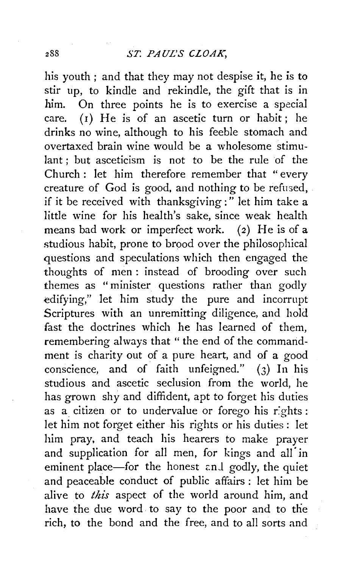his youth ; and that they may not despise it, he is to stir up, to kindle and rekindle, the gift that is in him. On three points he is to exercise a special care. ( $I$ ) He is of an ascetic turn or habit; he drinks no wine, although to his feeble stomach and overtaxed brain wine would be a wholesome stimulant; but asceticism is not to be the rule of the Church : let him therefore remember that "every creature of God is good, and nothing to be refused, if it be received with thanksgiving:" let him take a little wine for his health's sake, since weak health means bad work or imperfect work. (2) He is of a studious habit, prone to brood over the philosophical questions and speculations which then engaged the thoughts of men : instead of brooding over such themes as "minister questions rather than godly edifying," let him study the pure and incorrupt Scriptures with an unremitting diligence, and hold fast the doctrines which he has learned of them, remembering always that "the end of the commandment is charity out of a pure heart, and of a good conscience, and of faith unfeigned." (3) In his studious and ascetic seclusion from the world, he has grown shy and diffident, apt to forget his duties as a citizen or to undervalue or forego his r:ghts : let him not forget either his rights or his duties : let him pray, and teach his hearers to make prayer and supplication for all men, for kings and all in eminent place-for the honest and godly, the quiet and peaceable conduct of public affairs : let him be alive to *this* aspect of the world around him, and have the due word to say to the poor and to the rich, to the bond and the free, and to all sorts and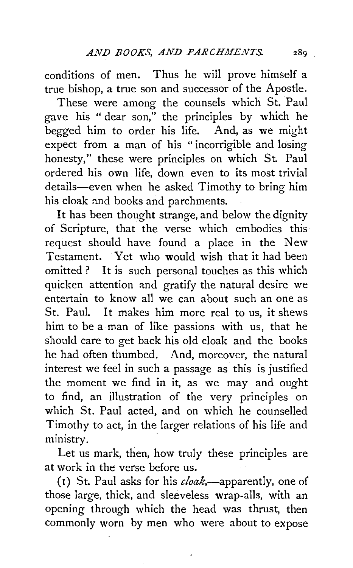conditions of men. Thus he will prove himself a true bishop, a true son and successor of the Apostle.

These were among the counsels which St. Paul gave his "dear son," the principles by which he begged him to order his life. And, as we might expect from a man of his " incorrigible and losing honesty," these were principles on which St. Paul ordered his own life, down even to its most trivial details-even when he asked Timothy to bring him his cloak nnd books and parchments.

It has been thought strange, and below the dignity of Scripture, that the verse which embodies this request should have found a place in the New Testament. Yet who would wish that it had been omitted? It is such personal touches as this which quicken attention and gratify the natural desire we entertain to know all we can about such an one as St. Paul. It makes him more real to us, it shews him to be a man of like passions with us, that he should care to get back his old cloak and the books he had often thumbed. And, moreover, the natural interest we feel in such a passage as this is justified the moment we find in it, as we may and ought to find, an illustration of the very principles on which St. Paul acted, and on which he counselled Timothy to act, in the larger relations of his life and ministry.

Let us mark, then, how truly these principles are at work in the verse before us.

( $i$ ) St. Paul asks for his *cloak*,—apparently, one of those large, thick, and sleeveless wrap-alls, with an opening through which the head was thrust, then commonly worn by men who were about to expose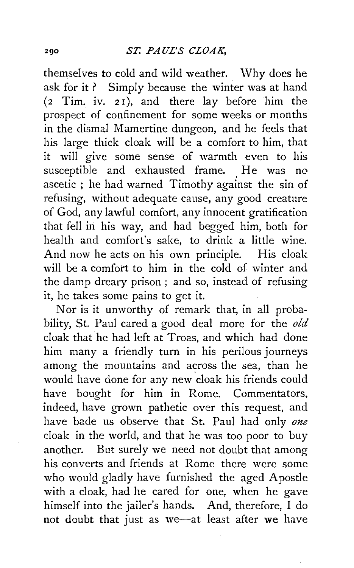themselves to cold and wild weather. Why does he ask for it? Simply because the winter was at hand (2 Tim. iv. *2* r), and there lay before him the prospect of confinement for some weeks or months in the dismal Mamertine dungeon, and he feels that his large thick cloak will be a comfort to him, that it will give some sense of warmth even to his susceptible and exhausted frame. He was no ascetic ; he had warned Timothy against the sin of refusing, without adequate cause, any good creature of God, any lawful comfort, any innocent gratification that fell in his way, and had begged him, both for health and comfort's sake, to drink a little wine. And now he acts on his own principle. His cloak will be a comfort to him in the cold of winter and the damp dreary prison; and so, instead of refusing it, he takes some pains to get it.

Nor is it unworthy of remark that, in all probability, St. Paul cared a good deal more for the *old*  cloak that he had left at Troas, and which had done him many a friendly turn in his perilous journeys among the mountains and across the sea, than he would have done for any new cloak his friends could have bought for him in Rome. Commentators, indeed, have grown pathetic over this request, and have bade us observe that St. Paul had only *one*  cloak in the world, and that he was too poor to buy another. But surely we need not doubt that among his converts and friends at Rome there were some who would gladly have furnished the aged Apostle with a cloak, had he cared for one, when he gave himself into the jailer's hands. And, therefore, I do not doubt that just as we-at least after we have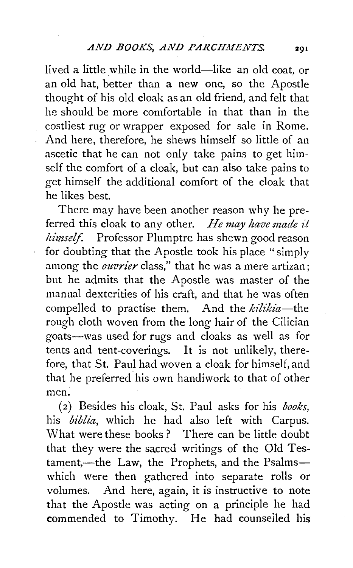lived a little while in the world-like an old coat, or an old hat, better than a new one, so the Apostle thought of his old cloak as an old friend, and felt that he should be more comfortable in that than in the costliest rug or wrapper exposed for sale in Rome. And here, therefore, he shews himself so little of an ascetic that he can not only take pains to get himself the comfort of a cloak, but can also take pains to get himself the additional comfort of the cloak that he likes best.

There may have been another reason why he preferred this cloak to any other. *He may have made it ltimseif.* Professor Plumptre has shewn good reason for doubting that the Apostle took his place "simply among the *ouvrier* class," that he was a mere artizan; but he admits that the Apostle was master of the manual dexterities of his craft, and that he was often compelled to practise them. And the *kilikia*-the rough cloth woven from the long hair of the Cilician goats-was used for rugs and cloaks as well as for tents and tent-coverings. It is not unlikely, therefore, that St. Paul had woven a cloak for himself, and that he preferred his own handiwork to that of other men.

(2) Besides his cloak, St. Paul asks for his *books,*  his *biblia,* which he had also left with Carpus. What were these books? There can be little doubt that they were the sacred writings of the Old Testament,-the Law, the Prophets, and the Psalmswhich were then gathered into separate rolls or volumes. And here, again, it is instructive to note that the Apostle was acting on a principle he had commended to Timothy. He had counselled his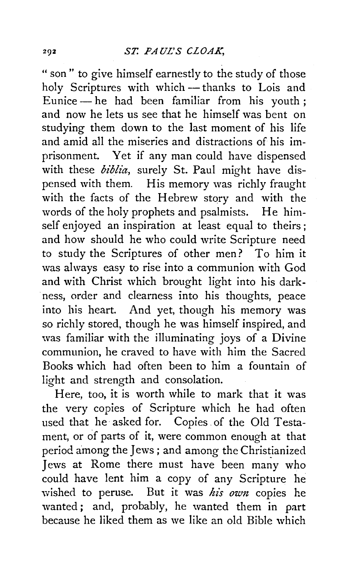" son" to give himself earnestly to the study of those holy Scriptures with which- thanks to Lois and Eunice-he had been familiar from his youth; and now he lets us see that he himself was bent on studying them down to the last moment of his life and amid all the miseries and distractions of his imprisonment. Yet if any man could have dispensed with these biblia, surely St. Paul might have dispensed with them. His memory was richly fraught with the facts of the Hebrew story and with the words of the holy prophets and psalmists. He himself enjoyed an inspiration at least equal to theirs; and how should he who could write Scripture need to study the Scriptures of other men? To him it was always easy to rise into a communion with God and with Christ which brought light into his darkness, order and clearness into his thoughts, peace into his heart. And yet, though his memory was so richly stored, though he was himself inspired, and was familiar with the illuminating joys of a Divine communion, he craved to have with him the Sacred Books which had often been to him a fountain of light and strength and consolation.

Here, too, it is worth while to mark that it was the very copies of Scripture which he had often used that he asked for. Copies. of the Old Testament, or of parts of it, were common enough at that period among the Jews ; and among the Christianized Jews at Rome there must have been many who could have lent him a copy of any Scripture he wished to peruse. But it was his own copies he wanted ; and, probably, he wanted them in part because he liked them as we like an old Bible which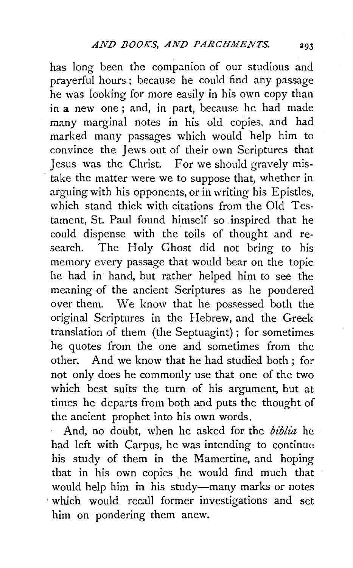has long been the companion of our studious and prayerful hours; because he could find any passage he was looking for more easily in his own copy than in a new one ; and, in part, because he had made many marginal notes in his old copies, and had marked many passages which would help him to convince the Jews out of their own Scriptures that Jesus was the Christ. For we should gravely mistake the matter were we to suppose that, whether in arguing with his opponents, or in writing his Epistles, which stand thick with citations from the Old Testament, St. Paul found himself so inspired that he could dispense with the toils of thought and research. The Holy Ghost did not bring to his memory every passage that would bear on the topic he had in hand, but rather helped him to see the meaning of the ancient Seriptures as he pondered over them. We know that he possessed both the original Scriptures in the Hebrew, and the Greek translation of them (the Septuagint); for sometimes he quotes from the one and sometimes from the other. And we know that he had studied both ; for not only does he commonly use that one of the two which best suits the turn of his argument, but at times he departs from both and puts the thought of the ancient prophet into his own words.

And, no doubt, when he asked for the *biblia* he had left with Carpus, he was intending to continue his study of them in the Mamertine, and hoping that in his own copies he would find much that would help him in his study-many marks or notes which would recall former investigations and set him on pondering them anew.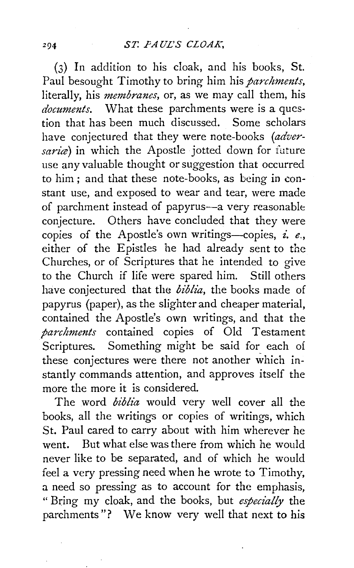(3) In addition to his cloak, and his books, St. Paul besought Timothy to bring him his *parchments*, literally, his *membranes,* or, as we may call them, his *documents.* What these parchments were is a question that has been much discussed. Some scholars have conjectured that they were note-books *(adver*saria) in which the Apostle jotted down for future use any valuable thought or suggestion that occurred to him; and that these note-books, as being in constant use, and exposed to wear and tear, were made of parchment instead of papyrus-a very reasonable conjecture. Others have concluded that they were copies of the Apostle's own writings-copies, *£. e.,*  either of the Epistles he had already sent to the Churches, or of Scriptures that he intended to give to the Church if life were spared him. Still others have conjectured that the *biblia,* the books made of papyrus (paper), as the slighter and cheaper material, contained the Apostle's own writings, and that the *parchments* contained copies of Old Testament Scriptures. Something might be said for each of these conjectures were there not another which instantly commands attention, and approves itself the more the more it is considered.

The word *biblia* would very well cover all the books, all the writings or copies of writings, which St. Paul cared to carry about with him wherever he went. But what else was there from which he would never like to be separated, and of which he would feel a very pressing need when he wrote to Timothy, a need so pressing as to account for the emphasis, " Bring my cloak, and the books, but *especially* the parchments "? We know very well that next to his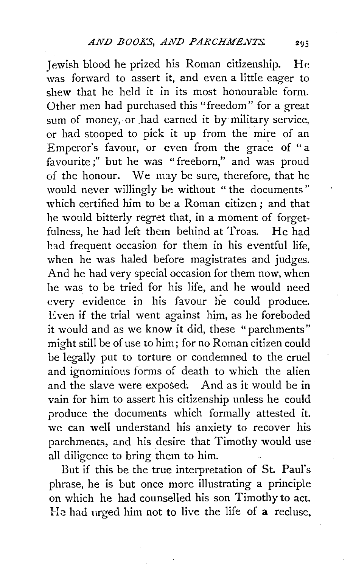Jewish blood he prized his Roman citizenship. He was forward to assert it, and even a little eager to shew that he held it in its most honourable form. Other men had purchased this ''freedom" for a great sum of money, or had earned it by military service, or had stooped to pick it up from the mire of an Emperor's favour, or even from the grace of "a favourite;" but he was "freeborn," and was proud of the honour. We nny be sure, therefore, that he would never willingly be without " the documents'' which certified him to be a Roman citizen ; and that he would bitterly regret that, in a moment of forgetfulness, he had left them behind at Troas. He had had frequent occasion for them in his eventful life, when he was haled before magistrates and judges. And he had very special occasion for them now, when he was to be tried for his life, and he would need every evidence in his favour he could produce. Even if the trial went against him, as he foreboded it would and as we know it did, these "parchments" might still be of use to him; for no Roman citizen could be legally put to torture or condemned to the cruel and ignominious forms of death to which the alien and the slave were exposed. And as it would be in vain for him to assert his citizenship unless he could produce the documents which formally attested it. we can well understand his anxiety to recover his parchments, and his desire that Timothy would use all diligence to bring them to him.

But if this be the true interpretation of St. Paul's phrase, he is but once more illustrating a principle on which he had counselled his son Timothy to act. He had urged him not to live the life of a recluse,